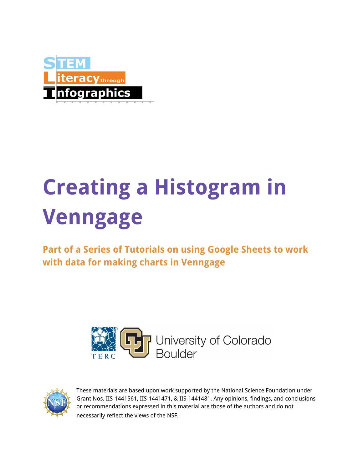

## **Creating a Histogram in Venngage**

**Part of a Series of Tutorials on using Google Sheets to work with data for making charts in Venngage**





These materials are based upon work supported by the National Science Foundation under Grant Nos. IIS-1441561, IIS-1441471, & IIS-1441481. Any opinions, findings, and conclusions or recommendations expressed in this material are those of the authors and do not necessarily reflect the views of the NSF.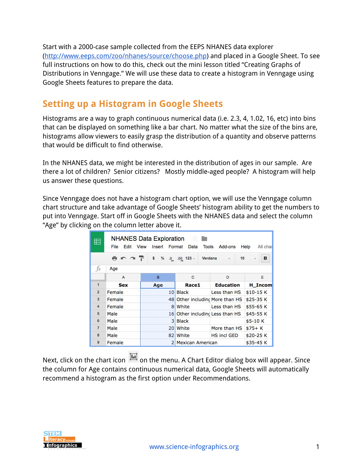Start with a 2000-case sample collected from the EEPS NHANES data explorer [\(http://www.eeps.com/zoo/nhanes/source/choose.php\)](http://www.eeps.com/zoo/nhanes/source/choose.php) and placed in a Google Sheet. To see full instructions on how to do this, check out the mini lesson titled "Creating Graphs of Distributions in Venngage." We will use these data to create a histogram in Venngage using Google Sheets features to prepare the data.

## **Setting up a Histogram in Google Sheets**

Histograms are a way to graph continuous numerical data (i.e. 2.3, 4, 1.02, 16, etc) into bins that can be displayed on something like a bar chart. No matter what the size of the bins are, histograms allow viewers to easily grasp the distribution of a quantity and observe patterns that would be difficult to find otherwise.

In the NHANES data, we might be interested in the distribution of ages in our sample. Are there a lot of children? Senior citizens? Mostly middle-aged people? A histogram will help us answer these questions.

Since Venngage does not have a histogram chart option, we will use the Venngage column chart structure and take advantage of Google Sheets' histogram ability to get the numbers to put into Venngage. Start off in Google Sheets with the NHANES data and select the column "Age" by clicking on the column letter above it.

| 臣                 | <b>NHANES Data Exploration</b><br>File<br>View<br>Edit<br>Insert<br>Format<br>Data<br>Add-ons<br>Help<br>All char<br><b>Tools</b> |                 |                                 |                    |             |  |  |  |  |
|-------------------|-----------------------------------------------------------------------------------------------------------------------------------|-----------------|---------------------------------|--------------------|-------------|--|--|--|--|
|                   | ラハッテ                                                                                                                              | \$              | $\%$ .0 .00 123 -<br>Verdana    | V                  | B<br>10     |  |  |  |  |
| $f_{\mathcal{X}}$ | Age                                                                                                                               |                 |                                 |                    |             |  |  |  |  |
|                   | $\mathsf{A}$                                                                                                                      | B               | C                               | D                  | E           |  |  |  |  |
| $\mathbf{1}$      | <b>Sex</b>                                                                                                                        | Age             | Race1                           | <b>Education</b>   | H Incom     |  |  |  |  |
| $\overline{2}$    | Female                                                                                                                            | 10              | <b>Black</b>                    | Less than HS       | \$10-15K    |  |  |  |  |
| 3                 | Female                                                                                                                            |                 | 48 Other including More than HS |                    | \$25-35 K   |  |  |  |  |
| $\overline{4}$    | Female                                                                                                                            | 8 <sup>1</sup>  | White                           | Less than HS       | \$55-65 K   |  |  |  |  |
| 5                 | Male                                                                                                                              | 16 <sup>1</sup> | Other including Less than HS    |                    | \$45-55 K   |  |  |  |  |
| 6                 | Male                                                                                                                              |                 | 3 Black                         |                    | $$5 - 10 K$ |  |  |  |  |
| $\overline{7}$    | Male                                                                                                                              | 20 <sup>1</sup> | White                           | More than HS       | $$75+K$     |  |  |  |  |
| 8                 | Male                                                                                                                              | 82              | White                           | <b>HS incl GED</b> | \$20-25 K   |  |  |  |  |
| $\mathbf{9}$      | Female                                                                                                                            |                 | 2 Mexican American              |                    | \$35-45 K   |  |  |  |  |

Next, click on the chart icon  $\overline{m}$  on the menu. A Chart Editor dialog box will appear. Since the column for Age contains continuous numerical data, Google Sheets will automatically recommend a histogram as the first option under Recommendations.

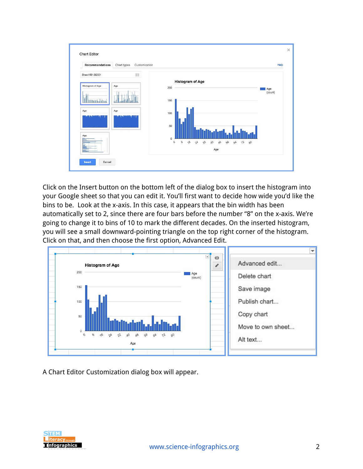| Recommendations                                                                    | Customization<br>Chart types |                                                                                                                                                                                             | Help           |
|------------------------------------------------------------------------------------|------------------------------|---------------------------------------------------------------------------------------------------------------------------------------------------------------------------------------------|----------------|
| Sheet1!B1:B2001<br>Histogram of Age<br><b>International Continue</b><br>Age<br>Age | 囲<br>Age<br>Age              | <b>Histogram of Age</b><br>200<br>150<br>100<br>50<br>$\overline{0}$<br>$\sqrt{6}$<br>$\mathcal{O}$<br>$\delta$<br>AB<br>2 <sup>h</sup><br>32<br>QA<br>56<br>12<br>$6^{\rm A}$<br>80<br>Age | Age<br>(count) |

Click on the Insert button on the bottom left of the dialog box to insert the histogram into your Google sheet so that you can edit it. You'll first want to decide how wide you'd like the bins to be. Look at the x-axis. In this case, it appears that the bin width has been automatically set to 2, since there are four bars before the number "8" on the x-axis. We're going to change it to bins of 10 to mark the different decades. On the inserted histogram, you will see a small downward-pointing triangle on the top right corner of the histogram. Click on that, and then choose the first option, Advanced Edit.



A Chart Editor Customization dialog box will appear.

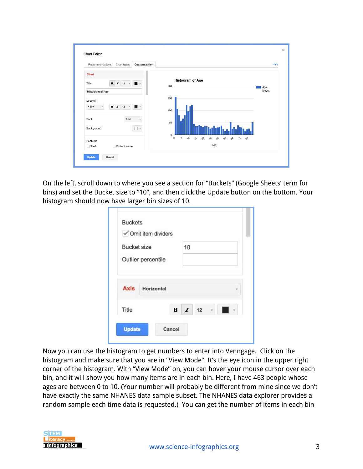| Customization<br>Recommendations<br>Chart types                                        | Help                                                                                                                                        |
|----------------------------------------------------------------------------------------|---------------------------------------------------------------------------------------------------------------------------------------------|
| Chart<br>$\, {\bf B}$<br>$\boldsymbol{I}$<br>Title<br>16<br>÷<br>×<br>Histogram of Age | <b>Histogram of Age</b><br>200<br>Age<br>(count)                                                                                            |
| Legend<br>$\mathbf B$<br>$I$ 12<br>Right<br>$\bar{\nu}$<br>$\mathbf{v}$                | 150<br>100                                                                                                                                  |
| Arial<br>Font<br>Background                                                            | 50<br>$\mathbf 0$                                                                                                                           |
| Features                                                                               | $\mathcal{O}$<br>$\delta$<br>$\sqrt{6}$<br>12<br>2 <sup>h</sup><br>32<br>$\alpha$<br>$\Delta^2$<br>$50 - 75$<br>6 <sup>A</sup><br>90<br>Age |

On the left, scroll down to where you see a section for "Buckets" (Google Sheets' term for bins) and set the Bucket size to "10", and then click the Update button on the bottom. Your histogram should now have larger bin sizes of 10.

|                    |                    | √ Omit item dividers |                      |  |  |  |
|--------------------|--------------------|----------------------|----------------------|--|--|--|
| <b>Bucket size</b> |                    | 10                   |                      |  |  |  |
|                    | Outlier percentile |                      |                      |  |  |  |
| <b>Axis</b>        | Horizontal         |                      |                      |  |  |  |
|                    |                    |                      | <b>B</b> <i>I</i> 12 |  |  |  |

Now you can use the histogram to get numbers to enter into Venngage. Click on the histogram and make sure that you are in "View Mode". It's the eye icon in the upper right corner of the histogram. With "View Mode" on, you can hover your mouse cursor over each bin, and it will show you how many items are in each bin. Here, I have 463 people whose ages are between 0 to 10. (Your number will probably be different from mine since we don't have exactly the same NHANES data sample subset. The NHANES data explorer provides a random sample each time data is requested.) You can get the number of items in each bin

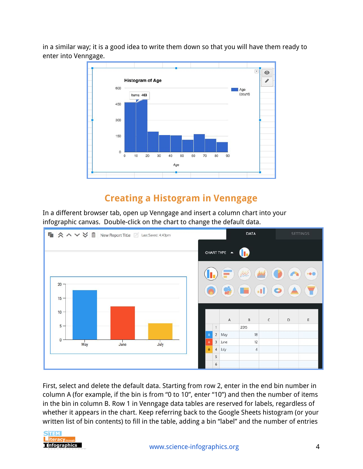in a similar way; it is a good idea to write them down so that you will have them ready to enter into Venngage.



## **Creating a Histogram in Venngage**

In a different browser tab, open up Venngage and insert a column chart into your infographic canvas. Double-click on the chart to change the default data.



First, select and delete the default data. Starting from row 2, enter in the end bin number in column A (for example, if the bin is from "0 to 10", enter "10") and then the number of items in the bin in column B. Row 1 in Venngage data tables are reserved for labels, regardless of whether it appears in the chart. Keep referring back to the Google Sheets histogram (or your written list of bin contents) to fill in the table, adding a bin "label" and the number of entries

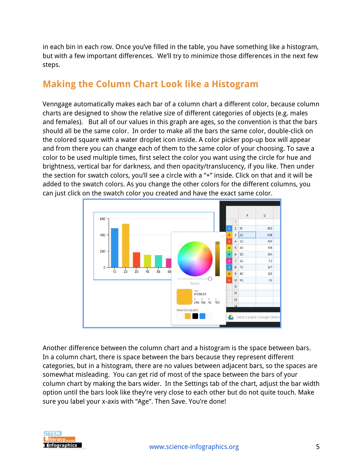in each bin in each row. Once you've filled in the table, you have something like a histogram, but with a few important differences. We'll try to minimize those differences in the next few steps.

## **Making the Column Chart Look like a Histogram**

Venngage automatically makes each bar of a column chart a different color, because column charts are designed to show the relative size of different categories of objects (e.g. males and females). But all of our values in this graph are ages, so the convention is that the bars should all be the same color. In order to make all the bars the same color, double-click on the colored square with a water droplet icon inside. A color picker pop-up box will appear and from there you can change each of them to the same color of your choosing. To save a color to be used multiple times, first select the color you want using the circle for hue and brightness, vertical bar for darkness, and then opacity/translucency, if you like. Then under the section for swatch colors, you'll see a circle with a "+" inside. Click on that and it will be added to the swatch colors. As you change the other colors for the different columns, you can just click on the swatch color you created and have the exact same color.



Another difference between the column chart and a histogram is the space between bars. In a column chart, there is space between the bars because they represent different categories, but in a histogram, there are no values between adjacent bars, so the spaces are somewhat misleading. You can get rid of most of the space between the bars of your column chart by making the bars wider. In the Settings tab of the chart, adjust the bar width option until the bars look like they're very close to each other but do not quite touch. Make sure you label your x-axis with "Age". Then Save. You're done!